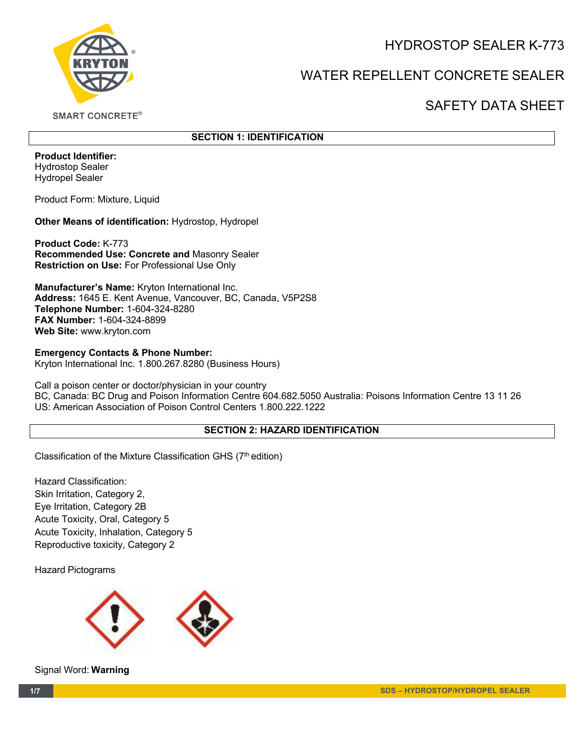HYDROSTOP SEALER K-773



# WATER REPELLENT CONCRETE SEALER

## SAFETY DATA SHEET

**SMART CONCRETE®** 

## **SECTION 1: IDENTIFICATION**

**Product Identifier:** Hydrostop Sealer Hydropel Sealer

Product Form: Mixture, Liquid

**Other Means of identification:** Hydrostop, Hydropel

**Product Code:** K-773 **Recommended Use: Concrete and** Masonry Sealer **Restriction on Use:** For Professional Use Only

**Manufacturer's Name:** Kryton International Inc. **Address:** 1645 E. Kent Avenue, Vancouver, BC, Canada, V5P2S8 **Telephone Number:** 1-604-324-8280 **FAX Number:** 1-604-324-8899 **Web Site:** www.kryton.com

**Emergency Contacts & Phone Number:** Kryton International Inc. 1.800.267.8280 (Business Hours)

Call a poison center or doctor/physician in your country BC, Canada: BC Drug and Poison Information Centre 604.682.5050 Australia: Poisons Information Centre 13 11 26 US: American Association of Poison Control Centers 1.800.222.1222

## **SECTION 2: HAZARD IDENTIFICATION**

Classification of the Mixture Classification GHS (7<sup>th</sup> edition)

Hazard Classification: Skin Irritation, Category 2, Eye Irritation, Category 2B Acute Toxicity, Oral, Category 5 Acute Toxicity, Inhalation, Category 5 Reproductive toxicity, Category 2

Hazard Pictograms



Signal Word: **Warning**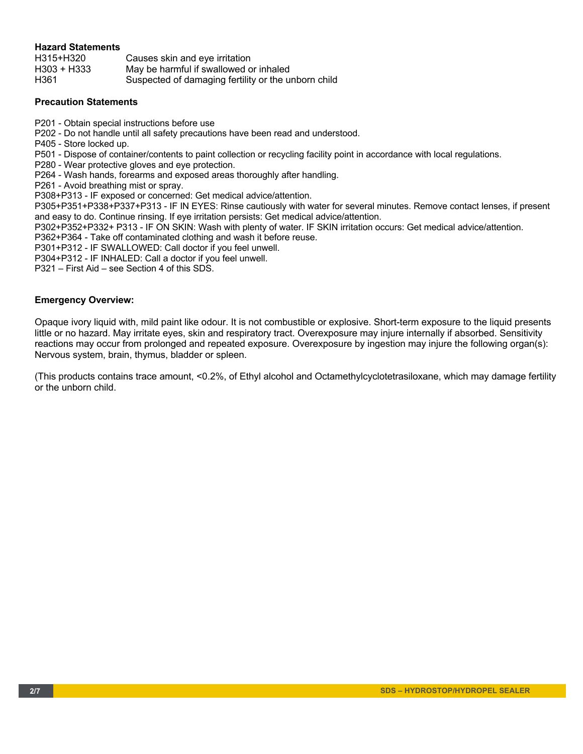#### **Hazard Statements**

H315+H320 Causes skin and eye irritation H303 + H333 May be harmful if swallowed or inhaled H361 Suspected of damaging fertility or the unborn child

#### **Precaution Statements**

- P201 Obtain special instructions before use
- P202 Do not handle until all safety precautions have been read and understood.
- P405 Store locked up.
- P501 Dispose of container/contents to paint collection or recycling facility point in accordance with local regulations.
- P280 Wear protective gloves and eye protection.
- P264 Wash hands, forearms and exposed areas thoroughly after handling.
- P261 Avoid breathing mist or spray.
- P308+P313 IF exposed or concerned: Get medical advice/attention.
- P305+P351+P338+P337+P313 IF IN EYES: Rinse cautiously with water for several minutes. Remove contact lenses, if present and easy to do. Continue rinsing. If eye irritation persists: Get medical advice/attention.
- P302+P352+P332+ P313 IF ON SKIN: Wash with plenty of water. IF SKIN irritation occurs: Get medical advice/attention.
- P362+P364 Take off contaminated clothing and wash it before reuse.
- P301+P312 IF SWALLOWED: Call doctor if you feel unwell.
- P304+P312 IF INHALED: Call a doctor if you feel unwell.
- P321 First Aid see Section 4 of this SDS.

#### **Emergency Overview:**

Opaque ivory liquid with, mild paint like odour. It is not combustible or explosive. Short-term exposure to the liquid presents little or no hazard. May irritate eyes, skin and respiratory tract. Overexposure may injure internally if absorbed. Sensitivity reactions may occur from prolonged and repeated exposure. Overexposure by ingestion may injure the following organ(s): Nervous system, brain, thymus, bladder or spleen.

(This products contains trace amount, <0.2%, of Ethyl alcohol and Octamethylcyclotetrasiloxane, which may damage fertility or the unborn child.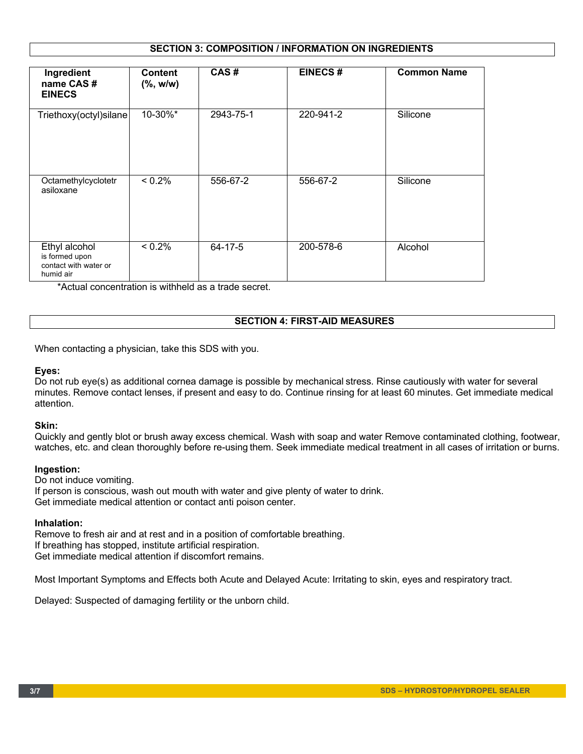#### **SECTION 3: COMPOSITION / INFORMATION ON INGREDIENTS**

| Ingredient<br>name CAS#<br><b>EINECS</b>                              | <b>Content</b><br>$(\%$ , w/w) | CAS#      | <b>EINECS#</b> | <b>Common Name</b> |
|-----------------------------------------------------------------------|--------------------------------|-----------|----------------|--------------------|
| Triethoxy(octyl)silane                                                | 10-30%*                        | 2943-75-1 | 220-941-2      | Silicone           |
| Octamethylcyclotetr<br>asiloxane                                      | < 0.2%                         | 556-67-2  | 556-67-2       | Silicone           |
| Ethyl alcohol<br>is formed upon<br>contact with water or<br>humid air | $< 0.2\%$                      | 64-17-5   | 200-578-6      | Alcohol            |

\*Actual concentration is withheld as a trade secret.

#### **SECTION 4: FIRST-AID MEASURES**

When contacting a physician, take this SDS with you.

#### **Eyes:**

Do not rub eye(s) as additional cornea damage is possible by mechanical stress. Rinse cautiously with water for several minutes. Remove contact lenses, if present and easy to do. Continue rinsing for at least 60 minutes. Get immediate medical attention.

#### **Skin:**

Quickly and gently blot or brush away excess chemical. Wash with soap and water Remove contaminated clothing, footwear, watches, etc. and clean thoroughly before re-using them. Seek immediate medical treatment in all cases of irritation or burns.

#### **Ingestion:**

Do not induce vomiting. If person is conscious, wash out mouth with water and give plenty of water to drink. Get immediate medical attention or contact anti poison center.

#### **Inhalation:**

Remove to fresh air and at rest and in a position of comfortable breathing. If breathing has stopped, institute artificial respiration. Get immediate medical attention if discomfort remains.

Most Important Symptoms and Effects both Acute and Delayed Acute: Irritating to skin, eyes and respiratory tract.

Delayed: Suspected of damaging fertility or the unborn child.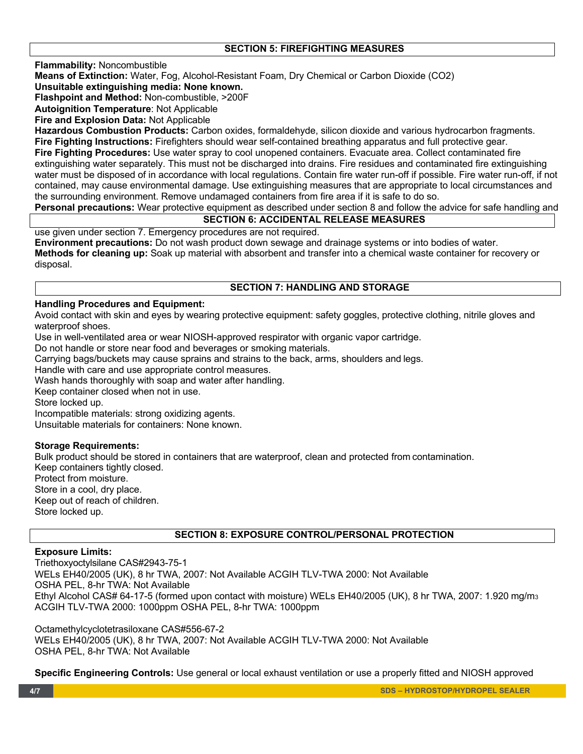#### **SECTION 5: FIREFIGHTING MEASURES**

**Flammability:** Noncombustible

**Means of Extinction:** Water, Fog, Alcohol-Resistant Foam, Dry Chemical or Carbon Dioxide (CO2)

**Unsuitable extinguishing media: None known.** 

**Flashpoint and Method:** Non-combustible, >200F

**Autoignition Temperature**: Not Applicable

**Fire and Explosion Data:** Not Applicable

**Hazardous Combustion Products:** Carbon oxides, formaldehyde, silicon dioxide and various hydrocarbon fragments. **Fire Fighting Instructions:** Firefighters should wear self-contained breathing apparatus and full protective gear. **Fire Fighting Procedures:** Use water spray to cool unopened containers. Evacuate area. Collect contaminated fire

extinguishing water separately. This must not be discharged into drains. Fire residues and contaminated fire extinguishing water must be disposed of in accordance with local regulations. Contain fire water run-off if possible. Fire water run-off, if not contained, may cause environmental damage. Use extinguishing measures that are appropriate to local circumstances and the surrounding environment. Remove undamaged containers from fire area if it is safe to do so.

#### **Personal precautions:** Wear protective equipment as described under section 8 and follow the advice for safe handling and

#### **SECTION 6: ACCIDENTAL RELEASE MEASURES**

use given under section 7. Emergency procedures are not required.

**Environment precautions:** Do not wash product down sewage and drainage systems or into bodies of water. **Methods for cleaning up:** Soak up material with absorbent and transfer into a chemical waste container for recovery or disposal.

## **SECTION 7: HANDLING AND STORAGE**

#### **Handling Procedures and Equipment:**

Avoid contact with skin and eyes by wearing protective equipment: safety goggles, protective clothing, nitrile gloves and waterproof shoes.

Use in well-ventilated area or wear NIOSH-approved respirator with organic vapor cartridge.

Do not handle or store near food and beverages or smoking materials.

Carrying bags/buckets may cause sprains and strains to the back, arms, shoulders and legs.

Handle with care and use appropriate control measures.

Wash hands thoroughly with soap and water after handling.

Keep container closed when not in use.

Store locked up.

Incompatible materials: strong oxidizing agents.

Unsuitable materials for containers: None known.

## **Storage Requirements:**

Bulk product should be stored in containers that are waterproof, clean and protected from contamination. Keep containers tightly closed. Protect from moisture. Store in a cool, dry place. Keep out of reach of children. Store locked up.

## **SECTION 8: EXPOSURE CONTROL/PERSONAL PROTECTION**

#### **Exposure Limits:**

Triethoxyoctylsilane CAS#2943-75-1 WELs EH40/2005 (UK), 8 hr TWA, 2007: Not Available ACGIH TLV-TWA 2000: Not Available OSHA PEL, 8-hr TWA: Not Available Ethyl Alcohol CAS# 64-17-5 (formed upon contact with moisture) WELs EH40/2005 (UK), 8 hr TWA, 2007: 1.920 mg/m3 ACGIH TLV-TWA 2000: 1000ppm OSHA PEL, 8-hr TWA: 1000ppm

Octamethylcyclotetrasiloxane CAS#556-67-2 WELs EH40/2005 (UK), 8 hr TWA, 2007: Not Available ACGIH TLV-TWA 2000: Not Available OSHA PEL, 8-hr TWA: Not Available

**Specific Engineering Controls:** Use general or local exhaust ventilation or use a properly fitted and NIOSH approved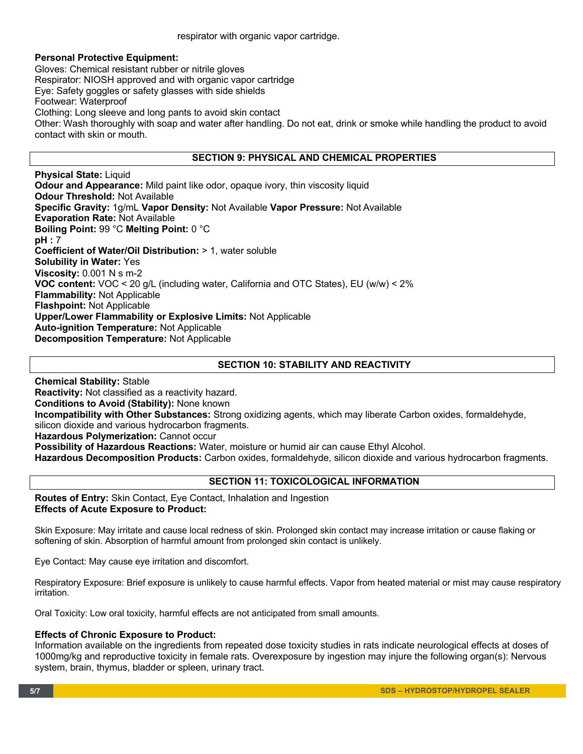respirator with organic vapor cartridge.

#### **Personal Protective Equipment:**

Gloves: Chemical resistant rubber or nitrile gloves Respirator: NIOSH approved and with organic vapor cartridge Eye: Safety goggles or safety glasses with side shields Footwear: Waterproof Clothing: Long sleeve and long pants to avoid skin contact Other: Wash thoroughly with soap and water after handling. Do not eat, drink or smoke while handling the product to avoid contact with skin or mouth.

## **SECTION 9: PHYSICAL AND CHEMICAL PROPERTIES**

**Physical State:** Liquid **Odour and Appearance:** Mild paint like odor, opaque ivory, thin viscosity liquid **Odour Threshold:** Not Available **Specific Gravity:** 1g/mL **Vapor Density:** Not Available **Vapor Pressure:** Not Available **Evaporation Rate:** Not Available **Boiling Point:** 99 °C **Melting Point:** 0 °C **pH :** 7 **Coefficient of Water/Oil Distribution:** > 1, water soluble **Solubility in Water:** Yes **Viscosity:** 0.001 N s m-2 **VOC content:** VOC < 20 g/L (including water, California and OTC States), EU (w/w) < 2% **Flammability:** Not Applicable **Flashpoint:** Not Applicable **Upper/Lower Flammability or Explosive Limits:** Not Applicable **Auto-ignition Temperature:** Not Applicable **Decomposition Temperature:** Not Applicable

## **SECTION 10: STABILITY AND REACTIVITY**

**Chemical Stability:** Stable **Reactivity:** Not classified as a reactivity hazard. **Conditions to Avoid (Stability):** None known **Incompatibility with Other Substances:** Strong oxidizing agents, which may liberate Carbon oxides, formaldehyde, silicon dioxide and various hydrocarbon fragments. **Hazardous Polymerization:** Cannot occur **Possibility of Hazardous Reactions:** Water, moisture or humid air can cause Ethyl Alcohol. **Hazardous Decomposition Products:** Carbon oxides, formaldehyde, silicon dioxide and various hydrocarbon fragments.

## **SECTION 11: TOXICOLOGICAL INFORMATION**

**Routes of Entry:** Skin Contact, Eye Contact, Inhalation and Ingestion **Effects of Acute Exposure to Product:**

Skin Exposure: May irritate and cause local redness of skin. Prolonged skin contact may increase irritation or cause flaking or softening of skin. Absorption of harmful amount from prolonged skin contact is unlikely.

Eye Contact: May cause eye irritation and discomfort.

Respiratory Exposure: Brief exposure is unlikely to cause harmful effects. Vapor from heated material or mist may cause respiratory irritation.

Oral Toxicity: Low oral toxicity, harmful effects are not anticipated from small amounts.

## **Effects of Chronic Exposure to Product:**

Information available on the ingredients from repeated dose toxicity studies in rats indicate neurological effects at doses of 1000mg/kg and reproductive toxicity in female rats. Overexposure by ingestion may injure the following organ(s): Nervous system, brain, thymus, bladder or spleen, urinary tract.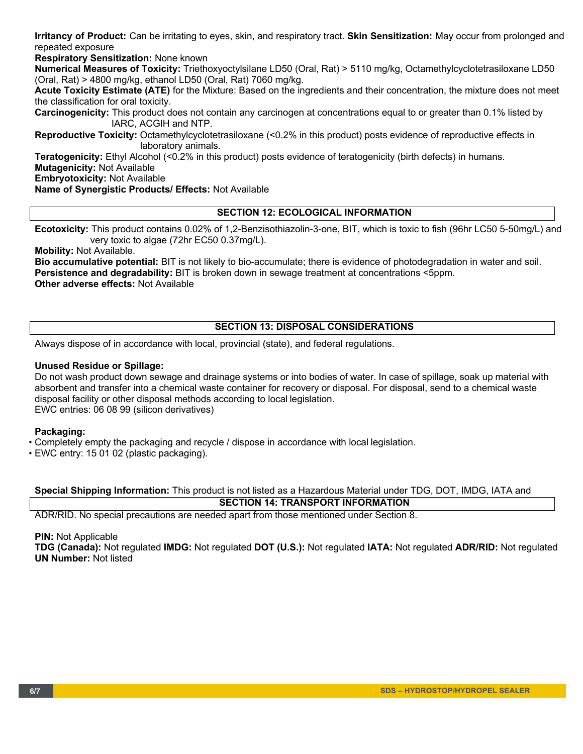**Irritancy of Product:** Can be irritating to eyes, skin, and respiratory tract. **Skin Sensitization:** May occur from prolonged and repeated exposure

**Respiratory Sensitization:** None known

**Numerical Measures of Toxicity:** Triethoxyoctylsilane LD50 (Oral, Rat) > 5110 mg/kg, Octamethylcyclotetrasiloxane LD50 (Oral, Rat) > 4800 mg/kg, ethanol LD50 (Oral, Rat) 7060 mg/kg.

**Acute Toxicity Estimate (ATE)** for the Mixture: Based on the ingredients and their concentration, the mixture does not meet the classification for oral toxicity.

**Carcinogenicity:** This product does not contain any carcinogen at concentrations equal to or greater than 0.1% listed by IARC, ACGIH and NTP.

**Reproductive Toxicity:** Octamethylcyclotetrasiloxane (<0.2% in this product) posts evidence of reproductive effects in laboratory animals.

**Teratogenicity:** Ethyl Alcohol (<0.2% in this product) posts evidence of teratogenicity (birth defects) in humans. **Mutagenicity:** Not Available

**Embryotoxicity:** Not Available

**Name of Synergistic Products/ Effects:** Not Available

### **SECTION 12: ECOLOGICAL INFORMATION**

**Ecotoxicity:** This product contains 0.02% of 1,2-Benzisothiazolin-3-one, BIT, which is toxic to fish (96hr LC50 5-50mg/L) and very toxic to algae (72hr EC50 0.37mg/L).

**Mobility:** Not Available.

**Bio accumulative potential:** BIT is not likely to bio-accumulate; there is evidence of photodegradation in water and soil. **Persistence and degradability:** BIT is broken down in sewage treatment at concentrations <5ppm. **Other adverse effects:** Not Available

## **SECTION 13: DISPOSAL CONSIDERATIONS**

Always dispose of in accordance with local, provincial (state), and federal regulations.

#### **Unused Residue or Spillage:**

Do not wash product down sewage and drainage systems or into bodies of water. In case of spillage, soak up material with absorbent and transfer into a chemical waste container for recovery or disposal. For disposal, send to a chemical waste disposal facility or other disposal methods according to local legislation. EWC entries: 06 08 99 (silicon derivatives)

#### **Packaging:**

- Completely empty the packaging and recycle / dispose in accordance with local legislation.
- EWC entry: 15 01 02 (plastic packaging).

**SECTION 14: TRANSPORT INFORMATION Special Shipping Information:** This product is not listed as a Hazardous Material under TDG, DOT, IMDG, IATA and

ADR/RID. No special precautions are needed apart from those mentioned under Section 8.

**PIN:** Not Applicable

**TDG (Canada):** Not regulated **IMDG:** Not regulated **DOT (U.S.):** Not regulated **IATA:** Not regulated **ADR/RID:** Not regulated **UN Number:** Not listed